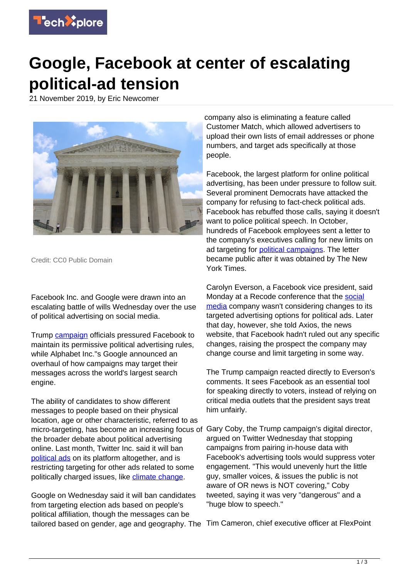

## **Google, Facebook at center of escalating political-ad tension**

21 November 2019, by Eric Newcomer



Credit: CC0 Public Domain

Facebook Inc. and Google were drawn into an escalating battle of wills Wednesday over the use of political advertising on social media.

Trump [campaign](https://techxplore.com/tags/campaign/) officials pressured Facebook to maintain its permissive political advertising rules, while Alphabet Inc."s Google announced an overhaul of how campaigns may target their messages across the world's largest search engine.

The ability of candidates to show different messages to people based on their physical location, age or other characteristic, referred to as micro-targeting, has become an increasing focus of the broader debate about political advertising online. Last month, Twitter Inc. said it will ban [political ads](https://techxplore.com/tags/political+ads/) on its platform altogether, and is restricting targeting for other ads related to some politically charged issues, like [climate change.](https://techxplore.com/tags/climate+change/)

Google on Wednesday said it will ban candidates from targeting election ads based on people's political affiliation, though the messages can be tailored based on gender, age and geography. The Tim Cameron, chief executive officer at FlexPoint

company also is eliminating a feature called Customer Match, which allowed advertisers to upload their own lists of email addresses or phone numbers, and target ads specifically at those people.

Facebook, the largest platform for online political advertising, has been under pressure to follow suit. Several prominent Democrats have attacked the company for refusing to fact-check political ads. Facebook has rebuffed those calls, saying it doesn't want to police political speech. In October, hundreds of Facebook employees sent a letter to the company's executives calling for new limits on ad targeting for **[political campaigns](https://techxplore.com/tags/political+campaigns/)**. The letter became public after it was obtained by The New York Times.

Carolyn Everson, a Facebook vice president, said Monday at a Recode conference that the [social](https://techxplore.com/tags/social+media/) [media](https://techxplore.com/tags/social+media/) company wasn't considering changes to its targeted advertising options for political ads. Later that day, however, she told Axios, the news website, that Facebook hadn't ruled out any specific changes, raising the prospect the company may change course and limit targeting in some way.

The Trump campaign reacted directly to Everson's comments. It sees Facebook as an essential tool for speaking directly to voters, instead of relying on critical media outlets that the president says treat him unfairly.

Gary Coby, the Trump campaign's digital director, argued on Twitter Wednesday that stopping campaigns from pairing in-house data with Facebook's advertising tools would suppress voter engagement. "This would unevenly hurt the little guy, smaller voices, & issues the public is not aware of OR news is NOT covering," Coby tweeted, saying it was very "dangerous" and a "huge blow to speech."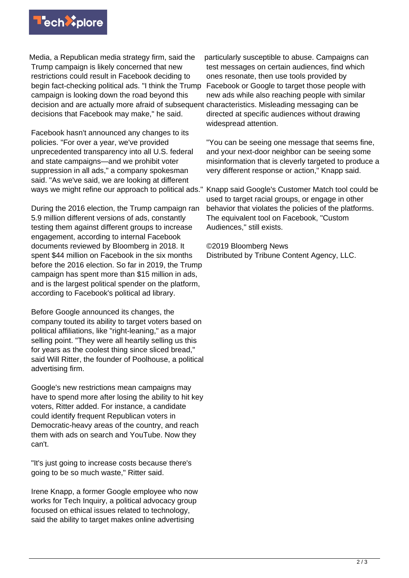

Media, a Republican media strategy firm, said the Trump campaign is likely concerned that new restrictions could result in Facebook deciding to begin fact-checking political ads. "I think the Trump campaign is looking down the road beyond this decision and are actually more afraid of subsequent characteristics. Misleading messaging can be decisions that Facebook may make," he said.

Facebook hasn't announced any changes to its policies. "For over a year, we've provided unprecedented transparency into all U.S. federal and state campaigns—and we prohibit voter suppression in all ads," a company spokesman said. "As we've said, we are looking at different ways we might refine our approach to political ads."

During the 2016 election, the Trump campaign ran 5.9 million different versions of ads, constantly testing them against different groups to increase engagement, according to internal Facebook documents reviewed by Bloomberg in 2018. It spent \$44 million on Facebook in the six months before the 2016 election. So far in 2019, the Trump campaign has spent more than \$15 million in ads, and is the largest political spender on the platform, according to Facebook's political ad library.

Before Google announced its changes, the company touted its ability to target voters based on political affiliations, like "right-leaning," as a major selling point. "They were all heartily selling us this for years as the coolest thing since sliced bread," said Will Ritter, the founder of Poolhouse, a political advertising firm.

Google's new restrictions mean campaigns may have to spend more after losing the ability to hit key voters, Ritter added. For instance, a candidate could identify frequent Republican voters in Democratic-heavy areas of the country, and reach them with ads on search and YouTube. Now they can't.

"It's just going to increase costs because there's going to be so much waste," Ritter said.

Irene Knapp, a former Google employee who now works for Tech Inquiry, a political advocacy group focused on ethical issues related to technology, said the ability to target makes online advertising

particularly susceptible to abuse. Campaigns can test messages on certain audiences, find which ones resonate, then use tools provided by Facebook or Google to target those people with new ads while also reaching people with similar directed at specific audiences without drawing widespread attention.

"You can be seeing one message that seems fine, and your next-door neighbor can be seeing some misinformation that is cleverly targeted to produce a very different response or action," Knapp said.

Knapp said Google's Customer Match tool could be used to target racial groups, or engage in other behavior that violates the policies of the platforms. The equivalent tool on Facebook, "Custom Audiences," still exists.

©2019 Bloomberg News Distributed by Tribune Content Agency, LLC.